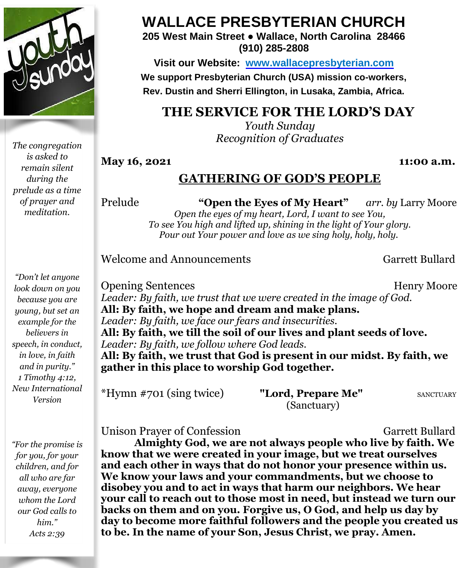

*The congregation is asked to remain silent during the prelude as a time of prayer and meditation.*

*"Don't let anyone look down on you because you are young, but set an example for the believers in speech, in conduct, in love, in faith and in purity." 1 Timothy 4:12, New International Version*

*"For the promise is for you, for your children, and for all who are far away, everyone whom the Lord our God calls to him." Acts 2:39*

# **WALLACE PRESBYTERIAN CHURCH**

**205 West Main Street ● Wallace, North Carolina 28466 (910) 285-2808**

**Visit our Website: [www.wallacepresbyterian.com](http://www.wallacepresbyterian.com/) We support Presbyterian Church (USA) mission co-workers, Rev. Dustin and Sherri Ellington, in Lusaka, Zambia, Africa.**

## **THE SERVICE FOR THE LORD'S DAY**

*Youth Sunday Recognition of Graduates*

#### **May 16, 2021 11:00 a.m.**

### **GATHERING OF GOD'S PEOPLE**

Prelude **"Open the Eyes of My Heart"** *arr. by* Larry Moore *Open the eyes of my heart, Lord, I want to see You, To see You high and lifted up, shining in the light of Your glory.*

*Pour out Your power and love as we sing holy, holy, holy.*

Welcome and Announcements Garrett Bullard

Opening Sentences Henry Moore *Leader: By faith, we trust that we were created in the image of God.* **All: By faith, we hope and dream and make plans.** *Leader: By faith, we face our fears and insecurities.* **All: By faith, we till the soil of our lives and plant seeds of love.** *Leader: By faith, we follow where God leads.* **All: By faith, we trust that God is present in our midst. By faith, we gather in this place to worship God together.**

\*Hymn #701 (sing twice) **"Lord, Prepare Me"** SANCTUARY

(Sanctuary)

Unison Prayer of Confession<br>
Garrett Bullard

**Almighty God, we are not always people who live by faith. We know that we were created in your image, but we treat ourselves and each other in ways that do not honor your presence within us. We know your laws and your commandments, but we choose to disobey you and to act in ways that harm our neighbors. We hear your call to reach out to those most in need, but instead we turn our backs on them and on you. Forgive us, O God, and help us day by day to become more faithful followers and the people you created us to be. In the name of your Son, Jesus Christ, we pray. Amen.**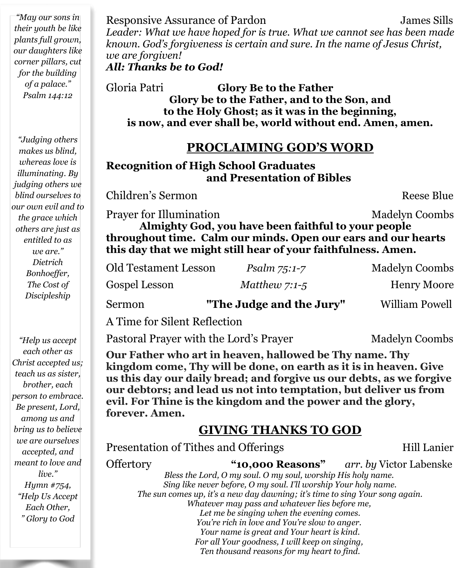*"May our sons in their youth be like plants full grown, our daughters like corner pillars, cut for the building of a palace." Psalm 144:12*

*"Judging others makes us blind, whereas love is illuminating. By judging others we blind ourselves to our own evil and to the grace which others are just as entitled to as we are." Dietrich Bonhoeffer, The Cost of Discipleship*

*"Help us accept each other as Christ accepted us; teach us as sister, brother, each person to embrace. Be present, Lord, among us and bring us to believe we are ourselves accepted, and meant to love and live." Hymn #754, "Help Us Accept Each Other, " Glory to God*

Responsive Assurance of Pardon James Sills *Leader: What we have hoped for is true. What we cannot see has been made known. God's forgiveness is certain and sure. In the name of Jesus Christ, we are forgiven! All: Thanks be to God!*

Gloria Patri **Glory Be to the Father Glory be to the Father, and to the Son, and to the Holy Ghost; as it was in the beginning, is now, and ever shall be, world without end. Amen, amen.**

#### **PROCLAIMING GOD'S WORD**

#### **Recognition of High School Graduates and Presentation of Bibles**

Children's Sermon Reese Blue

Prayer for Illumination and Madelyn Coombs **Almighty God, you have been faithful to your people throughout time. Calm our minds. Open our ears and our hearts this day that we might still hear of your faithfulness. Amen.**

| Sermon               | "The Judge and the Jury"         | <b>William Powell</b> |
|----------------------|----------------------------------|-----------------------|
| Gospel Lesson        | Matthew $7:1-5$                  | <b>Henry Moore</b>    |
| Old Testament Lesson | <i>Psalm <math>75:1-7</math></i> | <b>Madelyn Coombs</b> |

A Time for Silent Reflection

Pastoral Prayer with the Lord's Prayer Madelyn Coombs

**Our Father who art in heaven, hallowed be Thy name. Thy kingdom come, Thy will be done, on earth as it is in heaven. Give us this day our daily bread; and forgive us our debts, as we forgive our debtors; and lead us not into temptation, but deliver us from evil. For Thine is the kingdom and the power and the glory, forever. Amen.**

## **GIVING THANKS TO GOD**

Presentation of Tithes and Offerings Hill Lanier Offertory **"10,000 Reasons"** *arr. by* Victor Labenske *Bless the Lord, O my soul. O my soul, worship His holy name. Sing like never before, O my soul. I'll worship Your holy name. The sun comes up, it's a new day dawning; it's time to sing Your song again. Whatever may pass and whatever lies before me, Let me be singing when the evening comes. You're rich in love and You're slow to anger. Your name is great and Your heart is kind. For all Your goodness, I will keep on singing, Ten thousand reasons for my heart to find.*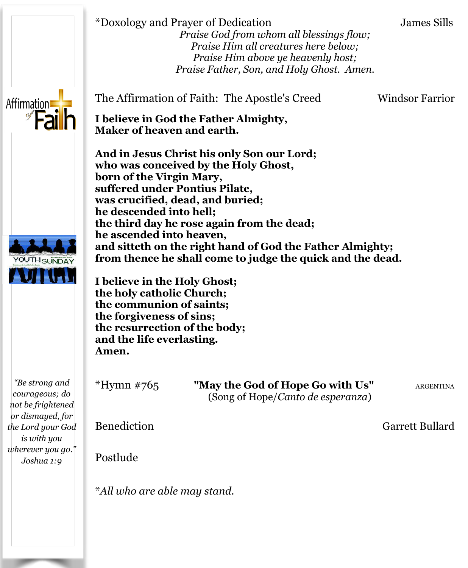\*Doxology and Prayer of Dedication James Sills *Praise God from whom all blessings flow; Praise Him all creatures here below; Praise Him above ye heavenly host; Praise Father, Son, and Holy Ghost. Amen.*



The Affirmation of Faith: The Apostle's Creed Windsor Farrior

**I believe in God the Father Almighty, Maker of heaven and earth.**

 **And in Jesus Christ his only Son our Lord; who was conceived by the Holy Ghost, the third day he rose again from the dead; he ascended into heaven, born of the Virgin Mary, suffered under Pontius Pilate, was crucified, dead, and buried; he descended into hell; and sitteth on the right hand of God the Father Almighty; from thence he shall come to judge the quick and the dead.**



**I believe in the Holy Ghost; the holy catholic Church; the communion of saints; the forgiveness of sins; the resurrection of the body; and the life everlasting. Amen.**

*"Be strong and courageous; do not be frightened or dismayed, for the Lord your God is with you wherever you go." Joshua 1:9*

\*Hymn #765 **"May the God of Hope Go with Us"** ARGENTINA (Song of Hope/*Canto de esperanza*)

Postlude

\**All who are able may stand.*

Benediction **Garrett Bullard**